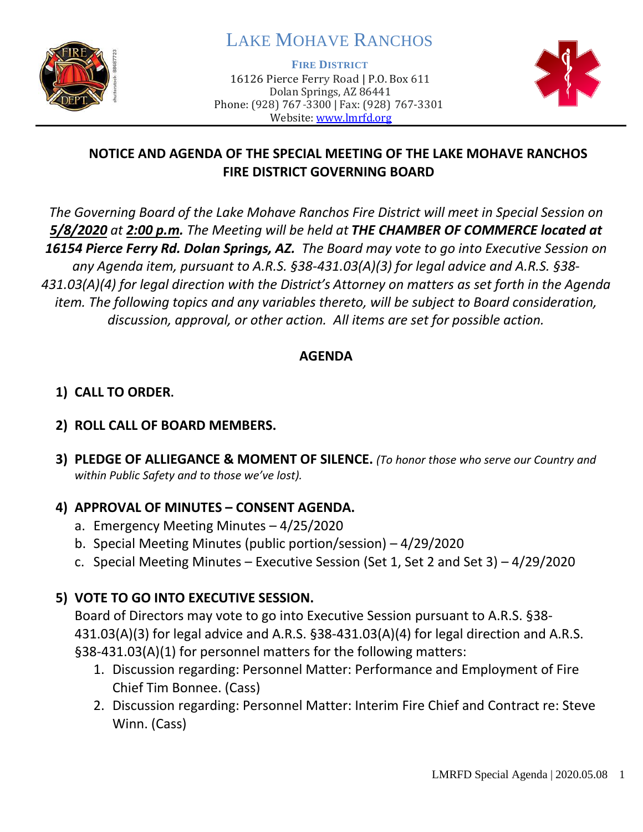

# LAKE MOHAVE RANCHOS

**FIRE DISTRICT**

16126 Pierce Ferry Road | P.O. Box 611 Dolan Springs, AZ 86441 Phone: (928) 767-3300 | Fax: (928) 767-3301 Website: [www.lmrfd.org](http://www.lmrfd.org/)



## **NOTICE AND AGENDA OF THE SPECIAL MEETING OF THE LAKE MOHAVE RANCHOS FIRE DISTRICT GOVERNING BOARD**

*The Governing Board of the Lake Mohave Ranchos Fire District will meet in Special Session on 5/8/2020 at 2:00 p.m. The Meeting will be held at THE CHAMBER OF COMMERCE located at 16154 Pierce Ferry Rd. Dolan Springs, AZ. The Board may vote to go into Executive Session on any Agenda item, pursuant to A.R.S. §38-431.03(A)(3) for legal advice and A.R.S. §38- 431.03(A)(4) for legal direction with the District's Attorney on matters as set forth in the Agenda item. The following topics and any variables thereto, will be subject to Board consideration, discussion, approval, or other action. All items are set for possible action.* 

### **AGENDA**

# **1) CALL TO ORDER.**

### **2) ROLL CALL OF BOARD MEMBERS.**

**3) PLEDGE OF ALLIEGANCE & MOMENT OF SILENCE.** *(To honor those who serve our Country and within Public Safety and to those we've lost).*

### **4) APPROVAL OF MINUTES – CONSENT AGENDA.**

- a. Emergency Meeting Minutes 4/25/2020
- b. Special Meeting Minutes (public portion/session) 4/29/2020
- c. Special Meeting Minutes Executive Session (Set 1, Set 2 and Set 3) 4/29/2020

# **5) VOTE TO GO INTO EXECUTIVE SESSION.**

Board of Directors may vote to go into Executive Session pursuant to A.R.S. §38- 431.03(A)(3) for legal advice and A.R.S. §38-431.03(A)(4) for legal direction and A.R.S. §38-431.03(A)(1) for personnel matters for the following matters:

- 1. Discussion regarding: Personnel Matter: Performance and Employment of Fire Chief Tim Bonnee. (Cass)
- 2. Discussion regarding: Personnel Matter: Interim Fire Chief and Contract re: Steve Winn. (Cass)